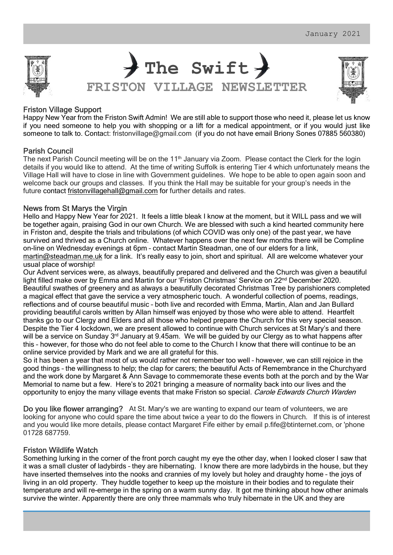

The Swift  $\rightarrow$ FRISTON VILLAGE NEWSLETTER



## Friston Village Support

Happy New Year from the Friston Swift Admin! We are still able to support those who need it, please let us know if you need someone to help you with shopping or a lift for a medical appointment, or if you would just like someone to talk to. Contact: fristonvillage@gmail.com (if you do not have email Briony Sones 07885 560380)

## Parish Council

The next Parish Council meeting will be on the 11<sup>th</sup> January via Zoom. Please contact the Clerk for the login details if you would like to attend. At the time of writing Suffolk is entering Tier 4 which unfortunately means the Village Hall will have to close in line with Government guidelines. We hope to be able to open again soon and welcome back our groups and classes. If you think the Hall may be suitable for your group's needs in the future contact fristonvillagehall@gmail.com for further details and rates.

### News from St Marys the Virgin

Hello and Happy New Year for 2021. It feels a little bleak I know at the moment, but it WILL pass and we will be together again, praising God in our own Church. We are blessed with such a kind hearted community here in Friston and, despite the trials and tribulations (of which COVID was only one) of the past year, we have survived and thrived as a Church online. Whatever happens over the next few months there will be Compline on-line on Wednesday evenings at 6pm – contact Martin Steadman, one of our elders for a link, martin@steadman.me.uk for a link. It's really easy to join, short and spiritual. All are welcome whatever your usual place of worship!

Our Advent services were, as always, beautifully prepared and delivered and the Church was given a beautiful light filled make over by Emma and Martin for our 'Friston Christmas' Service on 22<sup>nd</sup> December 2020. Beautiful swathes of greenery and as always a beautifully decorated Christmas Tree by parishioners completed a magical effect that gave the service a very atmospheric touch. A wonderful collection of poems, readings, reflections and of course beautiful music – both live and recorded with Emma, Martin, Alan and Jan Bullard providing beautiful carols written by Allan himself was enjoyed by those who were able to attend. Heartfelt thanks go to our Clergy and Elders and all those who helped prepare the Church for this very special season. Despite the Tier 4 lockdown, we are present allowed to continue with Church services at St Mary's and there will be a service on Sunday 3<sup>rd</sup> January at 9.45am. We will be guided by our Clergy as to what happens after this – however, for those who do not feel able to come to the Church I know that there will continue to be an online service provided by Mark and we are all grateful for this.

So it has been a year that most of us would rather not remember too well – however, we can still rejoice in the good things – the willingness to help; the clap for carers; the beautiful Acts of Remembrance in the Churchyard and the work done by Margaret & Ann Savage to commemorate these events both at the porch and by the War Memorial to name but a few. Here's to 2021 bringing a measure of normality back into our lives and the opportunity to enjoy the many village events that make Friston so special. Carole Edwards Church Warden<br>Do you like flower arranging? At St. Mary's we are wanting to expand our team of volunteers, we are

looking for anyone who could spare the time about twice a year to do the flowers in Church. If this is of interest and you would like more details, please contact Margaret Fife either by email p.fife@btinternet.com, or 'phone 01728 687759.

## Friston Wildlife Watch

Something lurking in the corner of the front porch caught my eye the other day, when I looked closer I saw that it was a small cluster of ladybirds – they are hibernating. I know there are more ladybirds in the house, but they have inserted themselves into the nooks and crannies of my lovely but holey and draughty home – the joys of living in an old property. They huddle together to keep up the moisture in their bodies and to regulate their temperature and will re-emerge in the spring on a warm sunny day. It got me thinking about how other animals survive the winter. Apparently there are only three mammals who truly hibernate in the UK and they are